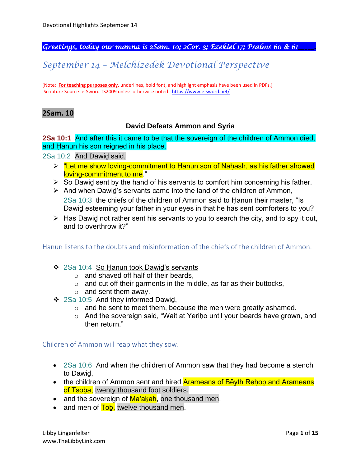*Greetings, today our manna is 2Sam. 10; 2Cor. 3; Ezekiel 17; Psalms 60 & 61\_\_\_\_\_.*

# *September 14 – Melchizedek Devotional Perspective*

[Note: **For teaching purposes only**, underlines, bold font, and highlight emphasis have been used in PDFs.] Scripture Source: e-Sword TS2009 unless otherwise noted: <https://www.e-sword.net/>

## **2Sam. 10**

#### **David Defeats Ammon and Syria**

**2Sa 10:1** And after this it came to be that the sovereign of the children of Ammon died, and Ḥanun his son reigned in his place.

2Sa 10:2 And Dawiḏ said,

- ➢ "Let me show loving-commitment to Ḥanun son of Naḥash, as his father showed loving-commitment to me."
- $\triangleright$  So Dawid sent by the hand of his servants to comfort him concerning his father.
- ➢ And when Dawiḏ's servants came into the land of the children of Ammon, 2Sa 10:3 the chiefs of the children of Ammon said to Ḥanun their master, "Is
	- Dawiḏ esteeming your father in your eyes in that he has sent comforters to you?
- $\triangleright$  Has Dawid not rather sent his servants to you to search the city, and to spy it out, and to overthrow it?"

#### Hanun listens to the doubts and misinformation of the chiefs of the children of Ammon.

- ❖ 2Sa 10:4 So Ḥanun took Dawiḏ's servants
	- o and shaved off half of their beards,
	- o and cut off their garments in the middle, as far as their buttocks,
	- $\circ$  and sent them away.
- ❖ 2Sa 10:5 And they informed Dawiḏ,
	- o and he sent to meet them, because the men were greatly ashamed.
	- o And the sovereign said, "Wait at Yeriḥo until your beards have grown, and then return."

#### Children of Ammon will reap what they sow.

- 2Sa 10:6 And when the children of Ammon saw that they had become a stench to Dawiḏ,
- the children of Ammon sent and hired Arameans of Běyth Rehob and Arameans of Tsoba, twenty thousand foot soldiers,
- and the sovereign of Ma'akah, one thousand men,
- and men of Tob, twelve thousand men.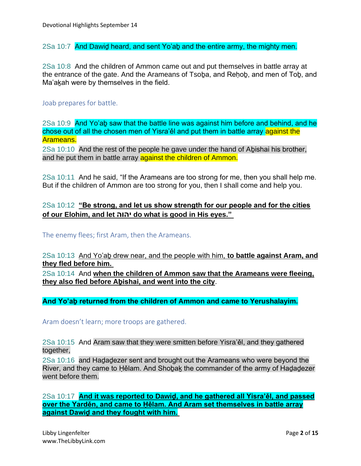2Sa 10:7 And Dawid heard, and sent Yo'ab and the entire army, the mighty men.

2Sa 10:8 And the children of Ammon came out and put themselves in battle array at the entrance of the gate. And the Arameans of Tsoḇa, and Reḥoḇ, and men of Toḇ, and Ma'akah were by themselves in the field.

#### Joab prepares for battle.

2Sa 10:9 And Yo'aḇ saw that the battle line was against him before and behind, and he chose out of all the chosen men of Yisra'ěl and put them in battle array against the Arameans.

2Sa 10:10 And the rest of the people he gave under the hand of Aḇishai his brother, and he put them in battle array against the children of Ammon.

2Sa 10:11 And he said, "If the Arameans are too strong for me, then you shall help me. But if the children of Ammon are too strong for you, then I shall come and help you.

### 2Sa 10:12 **"Be strong, and let us show strength for our people and for the cities of our Elohim, and let יהוה do what is good in His eyes."**

The enemy flees; first Aram, then the Arameans.

2Sa 10:13 And Yo'aḇ drew near, and the people with him, **to battle against Aram, and they fled before him.**

2Sa 10:14 And **when the children of Ammon saw that the Arameans were fleeing, they also fled before Aḇishai, and went into the city**.

**And Yo'aḇ returned from the children of Ammon and came to Yerushalayim.**

Aram doesn't learn; more troops are gathered.

2Sa 10:15 And Aram saw that they were smitten before Yisra'ěl, and they gathered together,

2Sa 10:16 and Haḏaḏezer sent and brought out the Arameans who were beyond the River, and they came to Ḥělam. And Shoḇaḵ the commander of the army of Haḏaḏezer went before them.

2Sa 10:17 **And it was reported to Dawiḏ, and he gathered all Yisra'ěl, and passed over the Yarděn, and came to Ḥělam. And Aram set themselves in battle array against Dawiḏ and they fought with him.**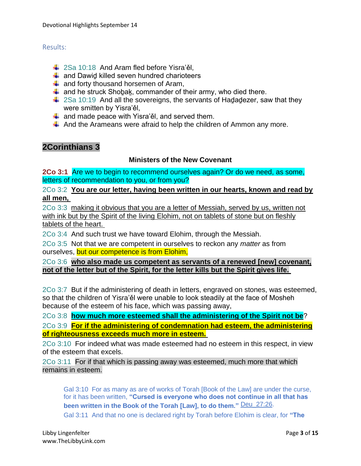### Results:

- $\frac{1}{2}$  2Sa 10:18 And Aram fled before Yisra'ěl,
- $\frac{1}{2}$  and Dawid killed seven hundred charioteers
- $\frac{1}{2}$  and forty thousand horsemen of Aram,
- $\ddot{+}$  and he struck Shobak, commander of their army, who died there.
- $\ddot{\phantom{1}}$  2Sa 10:19 And all the sovereigns, the servants of Hadadezer, saw that they were smitten by Yisra'ěl,
- $\downarrow$  and made peace with Yisra'ěl, and served them.
- $\ddot$  And the Arameans were afraid to help the children of Ammon any more.

# **2Corinthians 3**

## **Ministers of the New Covenant**

**2Co 3:1** Are we to begin to recommend ourselves again? Or do we need, as some, letters of recommendation to you, or from you?

2Co 3:2 **You are our letter, having been written in our hearts, known and read by all men,**

2Co 3:3 making it obvious that you are a letter of Messiah, served by us, written not with ink but by the Spirit of the living Elohim, not on tablets of stone but on fleshly tablets of the heart.

2Co 3:4 And such trust we have toward Elohim, through the Messiah.

2Co 3:5 Not that we are competent in ourselves to reckon any *matter* as from ourselves, but our competence is from Elohim,

2Co 3:6 **who also made us competent as servants of a renewed [new] covenant, not of the letter but of the Spirit, for the letter kills but the Spirit gives life.**

2Co 3:7 But if the administering of death in letters, engraved on stones, was esteemed, so that the children of Yisra'ěl were unable to look steadily at the face of Mosheh because of the esteem of his face, which was passing away,

2Co 3:8 **how much more esteemed shall the administering of the Spirit not be**?

2Co 3:9 **For if the administering of condemnation had esteem, the administering of righteousness exceeds much more in esteem.**

2Co 3:10 For indeed what was made esteemed had no esteem in this respect, in view of the esteem that excels.

2Co 3:11 For if that which is passing away was esteemed, much more that which remains in esteem.

Gal 3:10 For as many as are of works of Torah [Book of the Law] are under the curse, for it has been written, **"Cursed is everyone who does not continue in all that has been written in the Book of the Torah [Law], to do them."** Deu\_27:26.

Gal 3:11 And that no one is declared right by Torah before Elohim is clear, for **"The**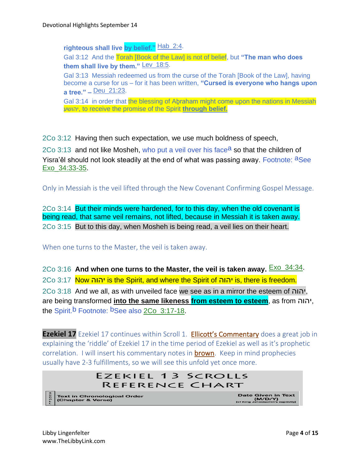**righteous shall live by belief."** Hab\_2:4. Gal 3:12 And the Torah [Book of the Law] is not of belief, but **"The man who does them shall live by them."** Lev\_18:5. Gal 3:13 Messiah redeemed us from the curse of the Torah [Book of the Law], having become a curse for us – for it has been written, **"Cursed is everyone who hangs upon a tree." –** Deu\_21:23. Gal 3:14 in order that the blessing of Abraham might come upon the nations in Messiah יהושע, to receive the promise of the Spirit **through belief.**

2Co 3:12 Having then such expectation, we use much boldness of speech,

2Co 3:13 and not like Mosheh, who put a veil over his face<sup>a</sup> so that the children of Yisra'ěl should not look steadily at the end of what was passing away. Footnote: <sup>a</sup>See Exo\_34:33-35.

Only in Messiah is the veil lifted through the New Covenant Confirming Gospel Message.

2Co 3:14 But their minds were hardened, for to this day, when the old covenant is being read, that same veil remains, not lifted, because in Messiah it is taken away. 2Co 3:15 But to this day, when Mosheh is being read, a veil lies on their heart.

When one turns to the Master, the veil is taken away.

2Co 3:16 And when one turns to the Master, the veil is taken away. **Exo 34:34**. 2Co 3:17 Now יהוה is the Spirit, and where the Spirit of יהוה is, there is freedom. 2Co 3:18 And we all, as with unveiled face we see as in a mirror the esteem of יהוה, are being transformed **into the same likeness from esteem to esteem**, as from יהוה, the Spirit.<sup>b</sup> Footnote: <sup>b</sup>See also 2Co 3:17-18.

**Ezekiel 17** Ezekiel 17 continues within Scroll 1. **Ellicott's Commentary** does a great job in explaining the 'riddle' of Ezekiel 17 in the time period of Ezekiel as well as it's prophetic correlation. I will insert his commentary notes in **brown**. Keep in mind prophecies usually have 2-3 fulfillments, so we will see this unfold yet once more.

# **EZEKIEL 13 SCROLLS REFERENCE CHART** Date Given in Text<br>(M/D/Y)<br>(of King Jehoclachin's captivity) Text in Chronological Order<br>(Chapter & Verse)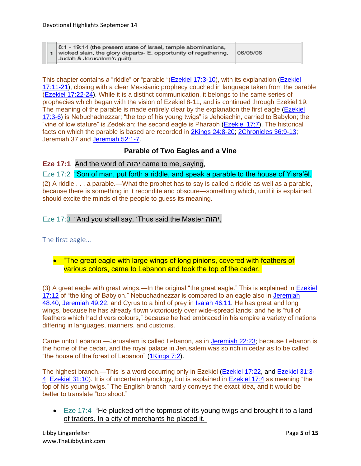|  | 8:1 - 19:14 (the present state of Israel, temple abominations,<br>1 wicked slain, the glory departs- E, opportunity of regathering,<br>Judah & Jerusalem's quilt) | 06/05/06 |
|--|-------------------------------------------------------------------------------------------------------------------------------------------------------------------|----------|
|--|-------------------------------------------------------------------------------------------------------------------------------------------------------------------|----------|

This chapter contains a "riddle" or "parable "[\(Ezekiel 17:3-10\)](https://biblehub.com/context/ezekiel/17-3.htm), with its explanation [\(Ezekiel](https://biblehub.com/context/ezekiel/17-11.htm)  [17:11-21\)](https://biblehub.com/context/ezekiel/17-11.htm), closing with a clear Messianic prophecy couched in language taken from the parable [\(Ezekiel 17:22-24\)](https://biblehub.com/context/ezekiel/17-22.htm). While it is a distinct communication, it belongs to the same series of prophecies which began with the vision of Ezekiel 8-11, and is continued through Ezekiel 19. The meaning of the parable is made entirely clear by the explanation the first eagle (Ezekiel [17:3-6\)](https://biblehub.com/context/ezekiel/17-3.htm) is Nebuchadnezzar; "the top of his young twigs" is Jehoiachin, carried to Babylon; the "vine of low stature" is Zedekiah; the second eagle is Pharaoh [\(Ezekiel 17:7\)](https://biblehub.com/ezekiel/17-7.htm). The historical facts on which the parable is based are recorded in [2Kings 24:8-20;](https://biblehub.com/context/2_kings/24-8.htm) [2Chronicles 36:9-13;](https://biblehub.com/context/2_chronicles/36-9.htm) Jeremiah 37 and [Jeremiah 52:1-7.](https://biblehub.com/context/jeremiah/52-1.htm)

## **Parable of Two Eagles and a Vine**

**Eze 17:1** And the word of יהוה came to me, saying,

Eze 17:2 "Son of man, put forth a riddle, and speak a parable to the house of Yisra'ěl. (2) A riddle . . . a parable.—What the prophet has to say is called a riddle as well as a parable, because there is something in it recondite and obscure—something which, until it is explained, should excite the minds of the people to guess its meaning.

#### Eze 17:3 "And you shall say, 'Thus said the Master יהוה,

The first eagle…

## • "The great eagle with large wings of long pinions, covered with feathers of various colors, came to Lebanon and took the top of the cedar.

(3) A great eagle with great wings.—In the original "the great eagle." This is explained in **Ezekiel** [17:12](https://biblehub.com/ezekiel/17-12.htm) of "the king of Babylon." Nebuchadnezzar is compared to an eagle also in [Jeremiah](https://biblehub.com/jeremiah/48-40.htm)  [48:40;](https://biblehub.com/jeremiah/48-40.htm) [Jeremiah 49:22;](https://biblehub.com/jeremiah/49-22.htm) and Cyrus to a bird of prey in [Isaiah 46:11.](https://biblehub.com/isaiah/46-11.htm) He has great and long wings, because he has already flown victoriously over wide-spread lands; and he is "full of feathers which had divers colours," because he had embraced in his empire a variety of nations differing in languages, manners, and customs.

Came unto Lebanon.—Jerusalem is called Lebanon, as in [Jeremiah 22:23;](https://biblehub.com/jeremiah/22-23.htm) because Lebanon is the home of the cedar, and the royal palace in Jerusalem was so rich in cedar as to be called "the house of the forest of Lebanon" [\(1Kings 7:2\)](https://biblehub.com/1_kings/7-2.htm).

The highest branch.—This is a word occurring only in Ezekiel [\(Ezekiel 17:22,](https://biblehub.com/ezekiel/17-22.htm) and [Ezekiel 31:3-](https://biblehub.com/context/ezekiel/31-3.htm) [4;](https://biblehub.com/context/ezekiel/31-3.htm) [Ezekiel 31:10\)](https://biblehub.com/ezekiel/31-10.htm). It is of uncertain etymology, but is explained in [Ezekiel 17:4](https://biblehub.com/ezekiel/17-4.htm) as meaning "the top of his young twigs." The English branch hardly conveys the exact idea, and it would be better to translate "top shoot."

• Eze 17:4 "He plucked off the topmost of its young twigs and brought it to a land of traders. In a city of merchants he placed it.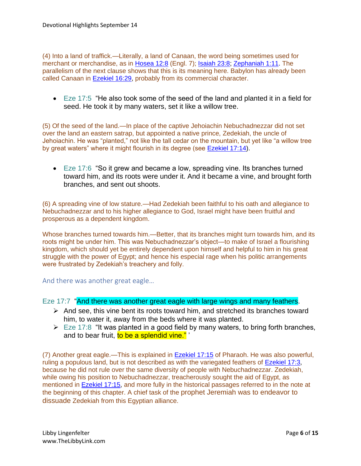(4) Into a land of traffick.—Literally, a land of Canaan, the word being sometimes used for merchant or merchandise, as in [Hosea 12:8](https://biblehub.com/hosea/12-8.htm) (Engl. 7); [Isaiah 23:8;](https://biblehub.com/isaiah/23-8.htm) [Zephaniah 1:11.](https://biblehub.com/zephaniah/1-11.htm) The parallelism of the next clause shows that this is its meaning here. Babylon has already been called Canaan in [Ezekiel 16:29,](https://biblehub.com/ezekiel/16-29.htm) probably from its commercial character.

• Eze 17:5 "He also took some of the seed of the land and planted it in a field for seed. He took it by many waters, set it like a willow tree.

(5) Of the seed of the land.—In place of the captive Jehoiachin Nebuchadnezzar did not set over the land an eastern satrap, but appointed a native prince, Zedekiah, the uncle of Jehoiachin. He was "planted," not like the tall cedar on the mountain, but yet like "a willow tree by great waters" where it might flourish in its degree (see **Ezekiel 17:14**).

• Eze 17:6 "So it grew and became a low, spreading vine. Its branches turned toward him, and its roots were under it. And it became a vine, and brought forth branches, and sent out shoots.

(6) A spreading vine of low stature.—Had Zedekiah been faithful to his oath and allegiance to Nebuchadnezzar and to his higher allegiance to God, Israel might have been fruitful and prosperous as a dependent kingdom.

Whose branches turned towards him.—Better, that its branches might turn towards him, and its roots might be under him. This was Nebuchadnezzar's object—to make of Israel a flourishing kingdom, which should yet be entirely dependent upon himself and helpful to him in his great struggle with the power of Egypt; and hence his especial rage when his politic arrangements were frustrated by Zedekiah's treachery and folly.

And there was another great eagle…

Eze 17:7 "And there was another great eagle with large wings and many feathers.

- ➢ And see, this vine bent its roots toward him, and stretched its branches toward him, to water it, away from the beds where it was planted.
- $\triangleright$  Eze 17:8 "It was planted in a good field by many waters, to bring forth branches, and to bear fruit, to be a splendid vine."

(7) Another great eagle.—This is explained in [Ezekiel 17:15](https://biblehub.com/ezekiel/17-15.htm) of Pharaoh. He was also powerful, ruling a populous land, but is not described as with the variegated feathers of **Ezekiel 17:3**, because he did not rule over the same diversity of people with Nebuchadnezzar. Zedekiah, while owing his position to Nebuchadnezzar, treacherously sought the aid of Egypt, as mentioned in **Ezekiel 17:15**, and more fully in the historical passages referred to in the note at the beginning of this chapter. A chief task of the prophet Jeremiah was to endeavor to dissuade Zedekiah from this Egyptian alliance.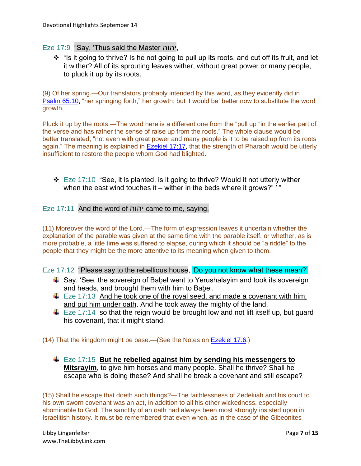#### Eze 17:9 "Say, 'Thus said the Master יהוה,

❖ "Is it going to thrive? Is he not going to pull up its roots, and cut off its fruit, and let it wither? All of its sprouting leaves wither, without great power or many people, to pluck it up by its roots.

(9) Of her spring.—Our translators probably intended by this word, as they evidently did in [Psalm 65:10,](https://biblehub.com/psalms/65-10.htm) "her springing forth," her growth; but it would be' better now to substitute the word growth,

Pluck it up by the roots.—The word here is a different one from the "pull up "in the earlier part of the verse and has rather the sense of raise up from the roots." The whole clause would be better translated, "not even with great power and many people is it to be raised up from its roots again." The meaning is explained in [Ezekiel 17:17,](https://biblehub.com/ezekiel/17-17.htm) that the strength of Pharaoh would be utterly insufficient to restore the people whom God had blighted.

❖ Eze 17:10 "See, it is planted, is it going to thrive? Would it not utterly wither when the east wind touches it – wither in the beds where it grows?" '"

### Eze 17:11 And the word of יהוה came to me, saying,

(11) Moreover the word of the Lord.—The form of expression leaves it uncertain whether the explanation of the parable was given at the same time with the parable itself, or whether, as is more probable, a little time was suffered to elapse, during which it should be "a riddle" to the people that they might be the more attentive to its meaning when given to them.

Eze 17:12 "Please say to the rebellious house, 'Do you not know what these mean?'

- $\ddot{\bullet}$  Say, 'See, the sovereign of Babel went to Yerushalayim and took its sovereign and heads, and brought them with him to Baḇel.
- $\ddot{\bullet}$  Eze 17:13 And he took one of the royal seed, and made a covenant with him, and put him under oath. And he took away the mighty of the land,
- $\downarrow$  Eze 17:14 so that the reign would be brought low and not lift itself up, but guard his covenant, that it might stand.

(14) That the kingdom might be base.—(See the Notes on [Ezekiel 17:6.](https://biblehub.com/ezekiel/17-6.htm))

Eze 17:15 **But he rebelled against him by sending his messengers to Mitsrayim**, to give him horses and many people. Shall he thrive? Shall he escape who is doing these? And shall he break a covenant and still escape?

(15) Shall he escape that doeth such things?—The faithlessness of Zedekiah and his court to his own sworn covenant was an act, in addition to all his other wickedness, especially abominable to God. The sanctity of an oath had always been most strongly insisted upon in Israelitish history. It must be remembered that even when, as in the case of the Gibeonites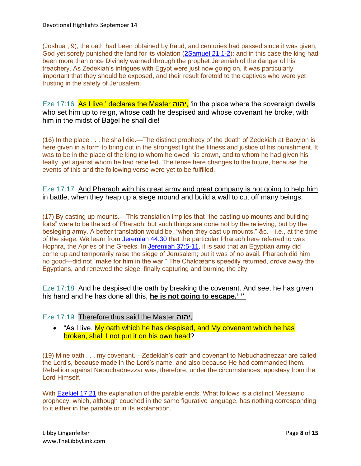(Joshua , 9), the oath had been obtained by fraud, and centuries had passed since it was given, God yet sorely punished the land for its violation [\(2Samuel](https://biblehub.com/context/2_samuel/21-1.htm) 21:1-2); and in this case the king had been more than once Divinely warned through the prophet Jeremiah of the danger of his treachery. As Zedekiah's intrigues with Egypt were just now going on, it was particularly important that they should be exposed, and their result foretold to the captives who were yet trusting in the safety of Jerusalem.

Eze 17:16 As I live,' declares the Master יהוה, 'in the place where the sovereign dwells who set him up to reign, whose oath he despised and whose covenant he broke, with him in the midst of Babel he shall die!

(16) In the place . . . he shall die.—The distinct prophecy of the death of Zedekiah at Babylon is here given in a form to bring out in the strongest light the fitness and justice of his punishment. It was to be in the place of the king to whom he owed his crown, and to whom he had given his fealty, yet against whom he had rebelled. The tense here changes to the future, because the events of this and the following verse were yet to be fulfilled.

Eze 17:17 And Pharaoh with his great army and great company is not going to help him in battle, when they heap up a siege mound and build a wall to cut off many beings.

(17) By casting up mounts.—This translation implies that "the casting up mounts and building forts" were to be the act of Pharaoh; but such things are done not by the relieving, but by the besieging army. A better translation would be, "when they cast up mounts," &c.—i.e., at the time of the siege. We learn from [Jeremiah 44:30](https://biblehub.com/jeremiah/44-30.htm) that the particular Pharaoh here referred to was Hophra, the Apries of the Greeks. In [Jeremiah 37:5-11,](https://biblehub.com/context/jeremiah/37-5.htm) it is said that an Egyptian army did come up and temporarily raise the siege of Jerusalem; but it was of no avail. Pharaoh did him no good—did not "make for him in the war." The Chaldæans speedily returned, drove away the Egyptians, and renewed the siege, finally capturing and burning the city.

Eze 17:18 And he despised the oath by breaking the covenant. And see, he has given his hand and he has done all this, **he is not going to escape.' "**

## Eze 17:19 Therefore thus said the Master יהוה,

• "As I live, My oath which he has despised, and My covenant which he has broken, shall I not put it on his own head?

(19) Mine oath . . . my covenant.—Zedekiah's oath and covenant to Nebuchadnezzar are called the Lord's, because made in the Lord's name, and also because He had commanded them. Rebellion against Nebuchadnezzar was, therefore, under the circumstances, apostasy from the Lord Himself.

With [Ezekiel 17:21](https://biblehub.com/ezekiel/17-21.htm) the explanation of the parable ends. What follows is a distinct Messianic prophecy, which, although couched in the same figurative language, has nothing corresponding to it either in the parable or in its explanation.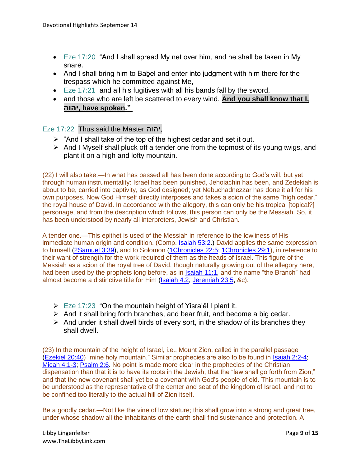- Eze 17:20 "And I shall spread My net over him, and he shall be taken in My snare.
- And I shall bring him to Babel and enter into judgment with him there for the trespass which he committed against Me,
- Eze 17:21 and all his fugitives with all his bands fall by the sword,
- and those who are left be scattered to every wind. **And you shall know that I, יהוה, have spoken."**

## Eze 17:22 Thus said the Master יהוה,

- $\triangleright$  "And I shall take of the top of the highest cedar and set it out.
- ➢ And I Myself shall pluck off a tender one from the topmost of its young twigs, and plant it on a high and lofty mountain.

(22) I will also take.—In what has passed all has been done according to God's will, but yet through human instrumentality: Israel has been punished, Jehoiachin has been, and Zedekiah is about to be, carried into captivity, as God designed; yet Nebuchadnezzar has done it all for his own purposes. Now God Himself directly interposes and takes a scion of the same "high cedar," the royal house of David. In accordance with the allegory, this can only be his tropical [topical?] personage, and from the description which follows, this person can only be the Messiah. So, it has been understood by nearly all interpreters, Jewish and Christian.

A tender one.—This epithet is used of the Messiah in reference to the lowliness of His immediate human origin and condition. (Comp. [Isaiah 53:2.](https://biblehub.com/isaiah/53-2.htm)) David applies the same expression to himself [\(2Samuel 3:39\)](https://biblehub.com/2_samuel/3-39.htm), and to Solomon [\(1Chronicles 22:5;](https://biblehub.com/1_chronicles/22-5.htm) [1Chronicles 29:1\)](https://biblehub.com/1_chronicles/29-1.htm), in reference to their want of strength for the work required of them as the heads of Israel. This figure of the Messiah as a scion of the royal tree of David, though naturally growing out of the allegory here, had been used by the prophets long before, as in [Isaiah 11:1,](https://biblehub.com/isaiah/11-1.htm) and the name "the Branch" had almost become a distinctive title for Him [\(Isaiah 4:2;](https://biblehub.com/isaiah/4-2.htm) [Jeremiah 23:5,](https://biblehub.com/jeremiah/23-5.htm) &c).

- $\triangleright$  Eze 17:23 "On the mountain height of Yisra'e I plant it.
- $\triangleright$  And it shall bring forth branches, and bear fruit, and become a big cedar.
- $\triangleright$  And under it shall dwell birds of every sort, in the shadow of its branches they shall dwell.

(23) In the mountain of the height of Israel, i.e., Mount Zion, called in the parallel passage [\(Ezekiel 20:40\)](https://biblehub.com/ezekiel/20-40.htm) "mine holy mountain." Similar prophecies are also to be found in [Isaiah 2:2-4;](https://biblehub.com/context/isaiah/2-2.htm) [Micah 4:1-3;](https://biblehub.com/context/micah/4-1.htm) [Psalm 2:6.](https://biblehub.com/psalms/2-6.htm) No point is made more clear in the prophecies of the Christian dispensation than that it is to have its roots in the Jewish, that the "law shall go forth from Zion," and that the new covenant shall yet be a covenant with God's people of old. This mountain is to be understood as the representative of the center and seat of the kingdom of Israel, and not to be confined too literally to the actual hill of Zion itself.

Be a goodly cedar.—Not like the vine of low stature; this shall grow into a strong and great tree, under whose shadow all the inhabitants of the earth shall find sustenance and protection. A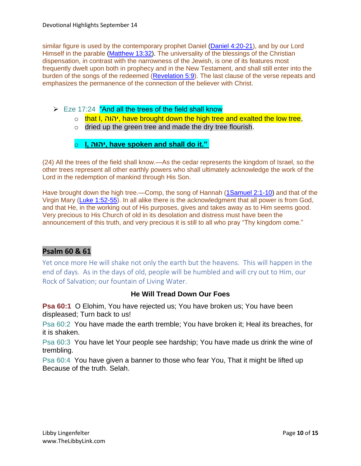similar figure is used by the contemporary prophet Daniel [\(Daniel 4:20-21\)](https://biblehub.com/context/daniel/4-20.htm), and by our Lord Himself in the parable [\(Matthew 13:32\)](https://biblehub.com/matthew/13-32.htm). The universality of the blessings of the Christian dispensation, in contrast with the narrowness of the Jewish, is one of its features most frequently dwelt upon both in prophecy and in the New Testament, and shall still enter into the burden of the songs of the redeemed [\(Revelation 5:9\)](https://biblehub.com/revelation/5-9.htm). The last clause of the verse repeats and emphasizes the permanence of the connection of the believer with Christ.

- ➢ Eze 17:24 "And all the trees of the field shall know
	- o that I, יהוה, have brought down the high tree and exalted the low tree,
	- o dried up the green tree and made the dry tree flourish.

# o **I, יהוה, have spoken and shall do it."**

(24) All the trees of the field shall know.—As the cedar represents the kingdom of Israel, so the other trees represent all other earthly powers who shall ultimately acknowledge the work of the Lord in the redemption of mankind through His Son.

Have brought down the high tree.—Comp, the song of Hannah [\(1Samuel 2:1-10\)](https://biblehub.com/context/1_samuel/2-1.htm) and that of the Virgin Mary [\(Luke 1:52-55\)](https://biblehub.com/context/luke/1-52.htm). In all alike there is the acknowledgment that all power is from God, and that He, in the working out of His purposes, gives and takes away as to Him seems good. Very precious to His Church of old in its desolation and distress must have been the announcement of this truth, and very precious it is still to all who pray "Thy kingdom come."

# **Psalm 60 & 61**

Yet once more He will shake not only the earth but the heavens. This will happen in the end of days. As in the days of old, people will be humbled and will cry out to Him, our Rock of Salvation; our fountain of Living Water.

# **He Will Tread Down Our Foes**

**Psa 60:1** O Elohim, You have rejected us; You have broken us; You have been displeased; Turn back to us!

Psa 60:2 You have made the earth tremble; You have broken it; Heal its breaches, for it is shaken.

Psa 60:3 You have let Your people see hardship; You have made us drink the wine of trembling.

Psa 60:4 You have given a banner to those who fear You, That it might be lifted up Because of the truth. Selah.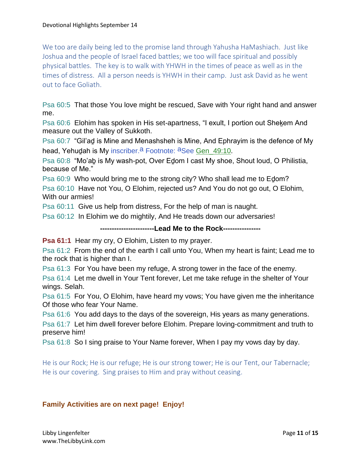We too are daily being led to the promise land through Yahusha HaMashiach. Just like Joshua and the people of Israel faced battles; we too will face spiritual and possibly physical battles. The key is to walk with YHWH in the times of peace as well as in the times of distress. All a person needs is YHWH in their camp. Just ask David as he went out to face Goliath.

Psa 60:5 That those You love might be rescued, Save with Your right hand and answer me.

Psa 60:6 Elohim has spoken in His set-apartness, "I exult, I portion out Shekem And measure out the Valley of Sukkoth.

Psa 60:7 "Gil'aḏ is Mine and Menashsheh is Mine, And Ephrayim is the defence of My head, Yehudah is My inscriber.<sup>a</sup> Footnote: <sup>a</sup>See Gen\_49:10.

Psa 60:8 "Mo'aḇ is My wash-pot, Over Eḏom I cast My shoe, Shout loud, O Philistia, because of Me."

Psa 60:9 Who would bring me to the strong city? Who shall lead me to Edom?

Psa 60:10 Have not You, O Elohim, rejected us? And You do not go out, O Elohim, With our armies!

Psa 60:11 Give us help from distress, For the help of man is naught.

Psa 60:12 In Elohim we do mightily, And He treads down our adversaries!

**-----------------------Lead Me to the Rock----------------**

**Psa 61:1** Hear my cry, O Elohim, Listen to my prayer.

Psa 61:2 From the end of the earth I call unto You, When my heart is faint; Lead me to the rock that is higher than I.

Psa 61:3 For You have been my refuge, A strong tower in the face of the enemy.

Psa 61:4 Let me dwell in Your Tent forever, Let me take refuge in the shelter of Your wings. Selah.

Psa 61:5 For You, O Elohim, have heard my vows; You have given me the inheritance Of those who fear Your Name.

Psa 61:6 You add days to the days of the sovereign, His years as many generations.

Psa 61:7 Let him dwell forever before Elohim. Prepare loving-commitment and truth to preserve him!

Psa 61:8 So I sing praise to Your Name forever, When I pay my vows day by day.

He is our Rock; He is our refuge; He is our strong tower; He is our Tent, our Tabernacle; He is our covering. Sing praises to Him and pray without ceasing.

# **Family Activities are on next page! Enjoy!**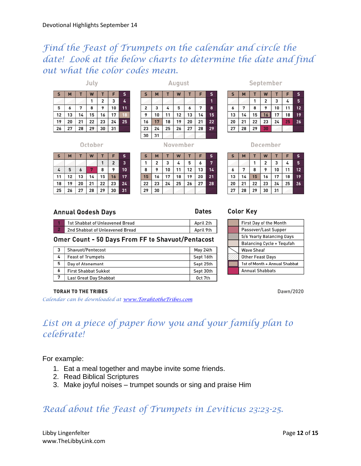# *Find the Feast of Trumpets on the calendar and circle the date! Look at the below charts to determine the date and find out what the color codes mean.*

July

| S  | M  |    | W  |    | F  | s  |
|----|----|----|----|----|----|----|
|    |    |    | 1  | 2  | 3  | 4  |
| 5  | 6  | 7  | 8  | 9  | 10 | 11 |
| 12 | 13 | 14 | 15 | 16 | 17 | 18 |
| 19 | 20 | 21 | 22 | 23 | 24 | 25 |
| 26 | 27 | 28 | 29 | 30 | 31 |    |

August

| S  | M  |    | W  |    | F  | s  |
|----|----|----|----|----|----|----|
|    |    |    |    |    |    |    |
| 2  | 3  | 4  | 5  | 6  | 7  | 8  |
| 9  | 10 | 11 | 12 | 13 | 14 | 15 |
| 16 | 17 | 18 | 19 | 20 | 21 | 22 |
| 23 | 24 | 25 | 26 | 27 | 28 | 29 |
| 30 | 31 |    |    |    |    |    |

#### September

| $\mathsf{s}$ | M  |    | W  |    | F  | S  |
|--------------|----|----|----|----|----|----|
|              |    |    | 2  | 3  | 4  | 5  |
| 6            | 7  | 8  | 9  | 10 | 11 | 12 |
| 13           | 14 | 15 | 16 | 17 | 18 | 19 |
| 20           | 21 | 22 | 23 | 24 | 25 | 26 |
| 27           | 28 | 29 | 30 |    |    |    |

October

| S  | M  |    | W  |    | F  | s  |
|----|----|----|----|----|----|----|
|    |    |    |    |    |    | 3  |
|    |    |    |    | 8  | 9  | 10 |
| 11 | 12 | 13 | 14 | 15 | 16 | 17 |
| 18 | 19 | 20 | 21 | 22 | 23 | 24 |
| 25 | 26 | 27 | 28 | 29 | 30 | 31 |

#### November S  $M$  $\mathsf T$ W  $\mathsf T$ F 1  $\mathbf{2}$ 3 4 5 6  $\overline{7}$ 8  $\overline{9}$  $10$ 11 12  $13$  $14$  $15\phantom{.0}$ 16  $17$ 18 19 20 21 22 23  $24$ 25 26 27 28 29 30

#### M W T т 2 3 4 1  $\overline{7}$ 8 9 10 11 16 13 14  $15$ 17  $18$

 $5<sup>5</sup>$ 

 $12$ 

19

Dawn/2020

December

#### **Annual Qodesh Days**

| 1st Shabbat of Unleavened Bread | April 2th |
|---------------------------------|-----------|
| 2nd Shabbat of Unleavened Bread | April 9th |

#### Omer Count - 50 Days From FF to Shavuot/Pentacost

|   | Shavuot/Pentecost           | May 24th  |
|---|-----------------------------|-----------|
| 4 | <b>Feast of Trumpets</b>    | Sept 16th |
| 5 | Day of Atonement            | Sept 25th |
| 6 | <b>First Shabbat Sukkot</b> | Sept 30th |
| 7 | Last Great Day Shabbat      | Oct 7th   |

#### **Color Key**

| First Day of the Month        |  |  |  |
|-------------------------------|--|--|--|
| Passover/Last Supper          |  |  |  |
| 5/6 Yearly Balancing Days     |  |  |  |
| Balancing Cycle + Tequfah     |  |  |  |
| <b>Wave Sheaf</b>             |  |  |  |
|                               |  |  |  |
| <b>Other Feast Days</b>       |  |  |  |
| 1st of Month + Annual Shabbat |  |  |  |
| <b>Annual Shabbats</b>        |  |  |  |

#### **TORAH TO THE TRIBES**

*Calendar can be downloaded a[t www.TorahtotheTribes.com](http://www.torahtothetribes.com/)*

# *List on a piece of paper how you and your family plan to celebrate!*

For example:

- 1. Eat a meal together and maybe invite some friends.
- 2. Read Biblical Scriptures
- 3. Make joyful noises trumpet sounds or sing and praise Him

# *Read about the Feast of Trumpets in Leviticus 23:23-25.*

#### Libby Lingenfelter **Page 12** of **15** and the Page **12** of **15** and the Page **12** of **15** and the Page **12** of **15** www.TheLibbyLink.com

**Dates** 

6

s

20 21 22 23 24  $25$ 26

27 28 29 30 31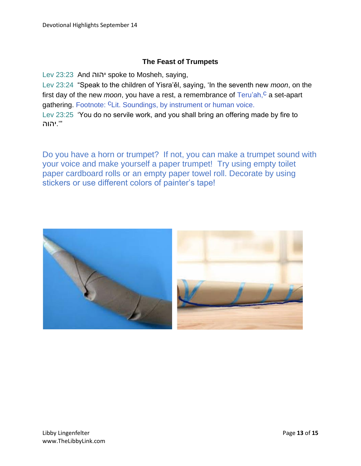## **The Feast of Trumpets**

Lev 23:23 And יהוה spoke to Mosheh, saying,

Lev 23:24 "Speak to the children of Yisra'ěl, saying, 'In the seventh new *moon*, on the first day of the new *moon*, you have a rest, a remembrance of Teru'ah,<sup>c</sup> a set-apart gathering. Footnote: CLit. Soundings, by instrument or human voice.

Lev 23:25 'You do no servile work, and you shall bring an offering made by fire to "'.יהוה

Do you have a horn or trumpet? If not, you can make a trumpet sound with your voice and make yourself a paper trumpet! Try using empty toilet paper cardboard rolls or an empty paper towel roll. Decorate by using stickers or use different colors of painter's tape!

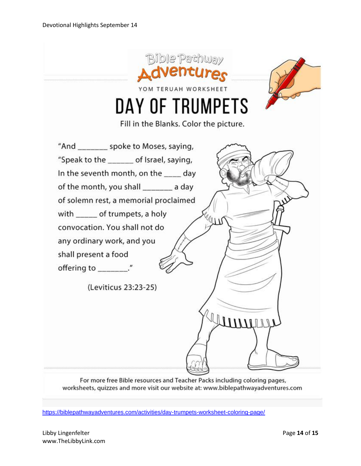

For more free Bible resources and Teacher Packs including coloring pages, worksheets, quizzes and more visit our website at: www.biblepathwayadventures.com

<https://biblepathwayadventures.com/activities/day-trumpets-worksheet-coloring-page/>